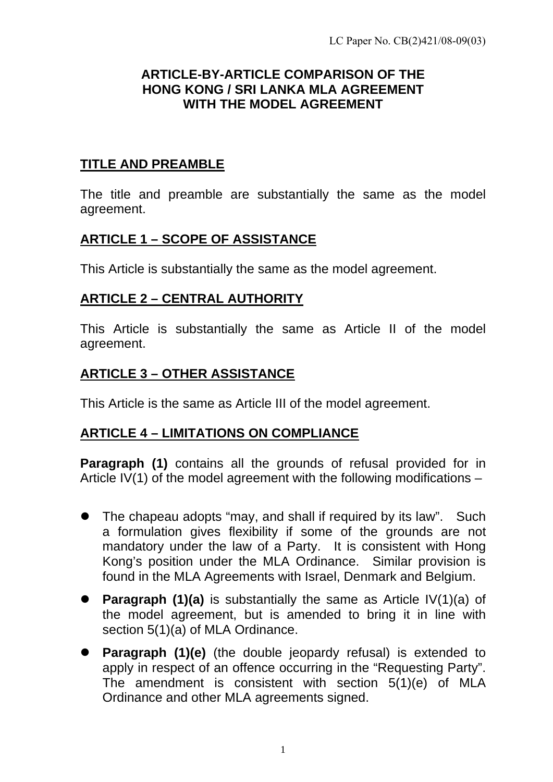#### **ARTICLE-BY-ARTICLE COMPARISON OF THE HONG KONG / SRI LANKA MLA AGREEMENT WITH THE MODEL AGREEMENT**

### **TITLE AND PREAMBLE**

The title and preamble are substantially the same as the model agreement.

# **ARTICLE 1 – SCOPE OF ASSISTANCE**

This Article is substantially the same as the model agreement.

## **ARTICLE 2 – CENTRAL AUTHORITY**

This Article is substantially the same as Article II of the model agreement.

# **ARTICLE 3 – OTHER ASSISTANCE**

This Article is the same as Article III of the model agreement.

## **ARTICLE 4 – LIMITATIONS ON COMPLIANCE**

**Paragraph (1)** contains all the grounds of refusal provided for in Article IV(1) of the model agreement with the following modifications  $-$ 

- $\bullet$  The chapeau adopts "may, and shall if required by its law". Such a formulation gives flexibility if some of the grounds are not mandatory under the law of a Party. It is consistent with Hong Kong's position under the MLA Ordinance. Similar provision is found in the MLA Agreements with Israel, Denmark and Belgium.
- **Paragraph (1)(a)** is substantially the same as Article IV(1)(a) of the model agreement, but is amended to bring it in line with section 5(1)(a) of MLA Ordinance.
- **Paragraph (1)(e)** (the double jeopardy refusal) is extended to apply in respect of an offence occurring in the "Requesting Party". The amendment is consistent with section 5(1)(e) of MLA Ordinance and other MLA agreements signed.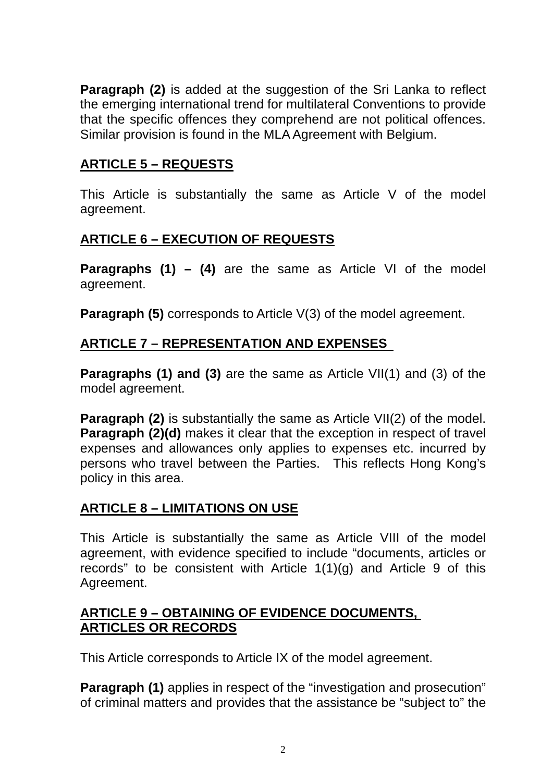**Paragraph (2)** is added at the suggestion of the Sri Lanka to reflect the emerging international trend for multilateral Conventions to provide that the specific offences they comprehend are not political offences. Similar provision is found in the MLA Agreement with Belgium.

## **ARTICLE 5 – REQUESTS**

This Article is substantially the same as Article V of the model agreement.

# **ARTICLE 6 – EXECUTION OF REQUESTS**

**Paragraphs (1) – (4)** are the same as Article VI of the model agreement.

**Paragraph (5)** corresponds to Article V(3) of the model agreement.

# **ARTICLE 7 – REPRESENTATION AND EXPENSES**

**Paragraphs (1) and (3)** are the same as Article VII(1) and (3) of the model agreement.

**Paragraph (2)** is substantially the same as Article VII(2) of the model. **Paragraph (2)(d)** makes it clear that the exception in respect of travel expenses and allowances only applies to expenses etc. incurred by persons who travel between the Parties. This reflects Hong Kong's policy in this area.

## **ARTICLE 8 – LIMITATIONS ON USE**

This Article is substantially the same as Article VIII of the model agreement, with evidence specified to include "documents, articles or records" to be consistent with Article  $1(1)(g)$  and Article 9 of this Agreement.

#### **ARTICLE 9 – OBTAINING OF EVIDENCE DOCUMENTS, ARTICLES OR RECORDS**

This Article corresponds to Article IX of the model agreement.

**Paragraph (1)** applies in respect of the "investigation and prosecution" of criminal matters and provides that the assistance be "subject to" the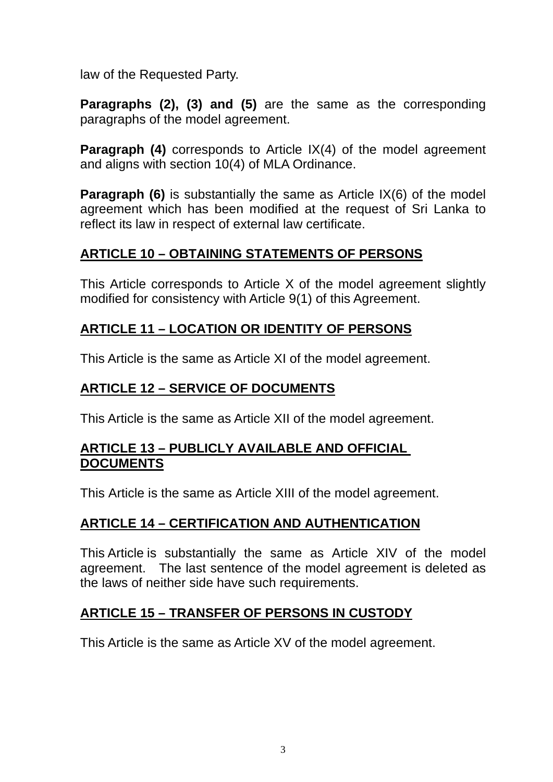law of the Requested Party.

**Paragraphs (2), (3) and (5)** are the same as the corresponding paragraphs of the model agreement.

**Paragraph (4)** corresponds to Article IX(4) of the model agreement and aligns with section 10(4) of MLA Ordinance.

**Paragraph (6)** is substantially the same as Article IX(6) of the model agreement which has been modified at the request of Sri Lanka to reflect its law in respect of external law certificate.

# **ARTICLE 10 – OBTAINING STATEMENTS OF PERSONS**

This Article corresponds to Article X of the model agreement slightly modified for consistency with Article 9(1) of this Agreement.

# **ARTICLE 11 – LOCATION OR IDENTITY OF PERSONS**

This Article is the same as Article XI of the model agreement.

### **ARTICLE 12 – SERVICE OF DOCUMENTS**

This Article is the same as Article XII of the model agreement.

### **ARTICLE 13 – PUBLICLY AVAILABLE AND OFFICIAL DOCUMENTS**

This Article is the same as Article XIII of the model agreement.

## **ARTICLE 14 – CERTIFICATION AND AUTHENTICATION**

This Article is substantially the same as Article XIV of the model agreement. The last sentence of the model agreement is deleted as the laws of neither side have such requirements.

## **ARTICLE 15 – TRANSFER OF PERSONS IN CUSTODY**

This Article is the same as Article XV of the model agreement.